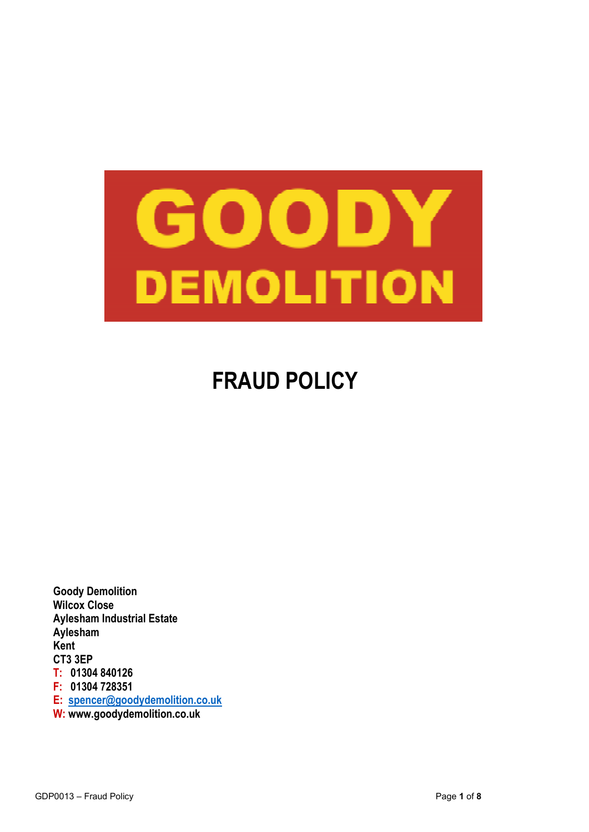

# **FRAUD POLICY**

**Goody Demolition Wilcox Close Aylesham Industrial Estate Aylesham Kent CT3 3EP T: 01304 840126 F: 01304 728351 E: spencer@goodydemolition.co.uk W: www.goodydemolition.co.uk**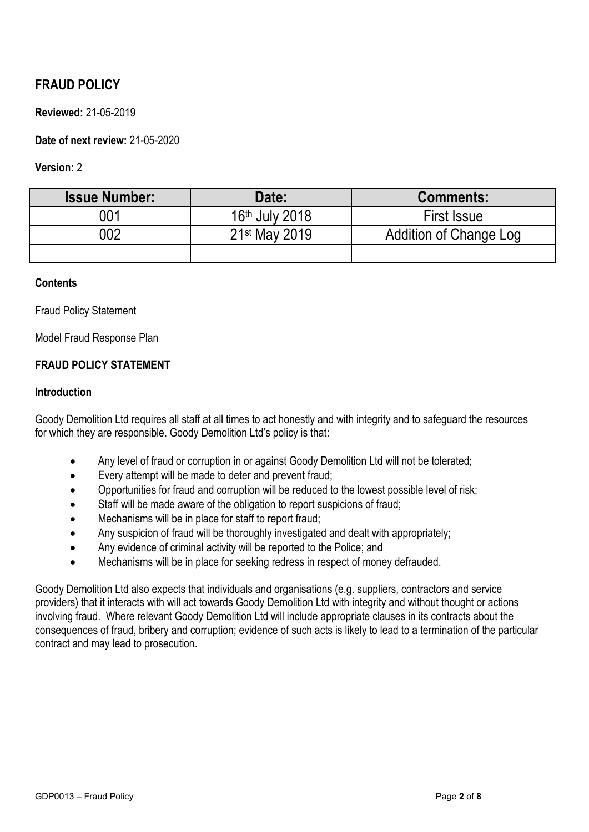# **FRAUD POLICY**

# **Reviewed:** 21-05-2019

# **Date of next review:** 21-05-2020

#### **Version:** 2

| <b>Issue Number:</b> | Date:                      | <b>Comments:</b>       |
|----------------------|----------------------------|------------------------|
| 001                  | 16 <sup>th</sup> July 2018 | <b>First Issue</b>     |
| 002                  | 21st May 2019              | Addition of Change Log |
|                      |                            |                        |

#### **Contents**

Fraud Policy Statement

Model Fraud Response Plan

# **FRAUD POLICY STATEMENT**

#### **Introduction**

Goody Demolition Ltd requires all staff at all times to act honestly and with integrity and to safeguard the resources for which they are responsible. Goody Demolition Ltd's policy is that:

- Any level of fraud or corruption in or against Goody Demolition Ltd will not be tolerated;
- Every attempt will be made to deter and prevent fraud;
- Opportunities for fraud and corruption will be reduced to the lowest possible level of risk;
- Staff will be made aware of the obligation to report suspicions of fraud;
- Mechanisms will be in place for staff to report fraud;
- Any suspicion of fraud will be thoroughly investigated and dealt with appropriately;
- Any evidence of criminal activity will be reported to the Police; and
- Mechanisms will be in place for seeking redress in respect of money defrauded.

Goody Demolition Ltd also expects that individuals and organisations (e.g. suppliers, contractors and service providers) that it interacts with will act towards Goody Demolition Ltd with integrity and without thought or actions involving fraud. Where relevant Goody Demolition Ltd will include appropriate clauses in its contracts about the consequences of fraud, bribery and corruption; evidence of such acts is likely to lead to a termination of the particular contract and may lead to prosecution.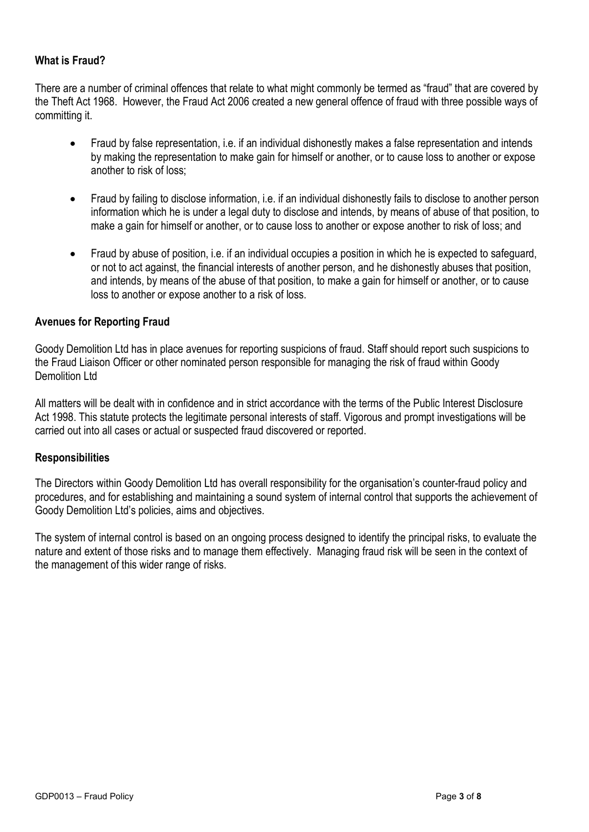# **What is Fraud?**

There are a number of criminal offences that relate to what might commonly be termed as "fraud" that are covered by the Theft Act 1968. However, the Fraud Act 2006 created a new general offence of fraud with three possible ways of committing it.

- Fraud by false representation, i.e. if an individual dishonestly makes a false representation and intends by making the representation to make gain for himself or another, or to cause loss to another or expose another to risk of loss;
- Fraud by failing to disclose information, i.e. if an individual dishonestly fails to disclose to another person information which he is under a legal duty to disclose and intends, by means of abuse of that position, to make a gain for himself or another, or to cause loss to another or expose another to risk of loss; and
- Fraud by abuse of position, i.e. if an individual occupies a position in which he is expected to safeguard, or not to act against, the financial interests of another person, and he dishonestly abuses that position, and intends, by means of the abuse of that position, to make a gain for himself or another, or to cause loss to another or expose another to a risk of loss.

#### **Avenues for Reporting Fraud**

Goody Demolition Ltd has in place avenues for reporting suspicions of fraud. Staff should report such suspicions to the Fraud Liaison Officer or other nominated person responsible for managing the risk of fraud within Goody Demolition Ltd

All matters will be dealt with in confidence and in strict accordance with the terms of the Public Interest Disclosure Act 1998. This statute protects the legitimate personal interests of staff. Vigorous and prompt investigations will be carried out into all cases or actual or suspected fraud discovered or reported.

#### **Responsibilities**

The Directors within Goody Demolition Ltd has overall responsibility for the organisation's counter-fraud policy and procedures, and for establishing and maintaining a sound system of internal control that supports the achievement of Goody Demolition Ltd's policies, aims and objectives.

The system of internal control is based on an ongoing process designed to identify the principal risks, to evaluate the nature and extent of those risks and to manage them effectively. Managing fraud risk will be seen in the context of the management of this wider range of risks.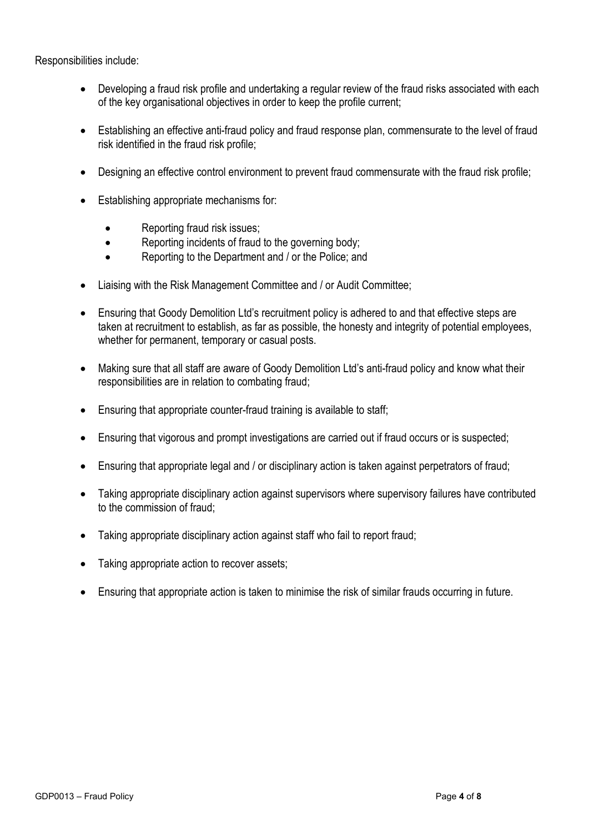Responsibilities include:

- Developing a fraud risk profile and undertaking a regular review of the fraud risks associated with each of the key organisational objectives in order to keep the profile current;
- Establishing an effective anti-fraud policy and fraud response plan, commensurate to the level of fraud risk identified in the fraud risk profile;
- Designing an effective control environment to prevent fraud commensurate with the fraud risk profile;
- Establishing appropriate mechanisms for:
	- Reporting fraud risk issues;
	- Reporting incidents of fraud to the governing body;
	- Reporting to the Department and / or the Police: and
- Liaising with the Risk Management Committee and / or Audit Committee;
- Ensuring that Goody Demolition Ltd's recruitment policy is adhered to and that effective steps are taken at recruitment to establish, as far as possible, the honesty and integrity of potential employees, whether for permanent, temporary or casual posts.
- Making sure that all staff are aware of Goody Demolition Ltd's anti-fraud policy and know what their responsibilities are in relation to combating fraud;
- Ensuring that appropriate counter-fraud training is available to staff;
- Ensuring that vigorous and prompt investigations are carried out if fraud occurs or is suspected;
- Ensuring that appropriate legal and / or disciplinary action is taken against perpetrators of fraud;
- Taking appropriate disciplinary action against supervisors where supervisory failures have contributed to the commission of fraud;
- Taking appropriate disciplinary action against staff who fail to report fraud:
- Taking appropriate action to recover assets;
- Ensuring that appropriate action is taken to minimise the risk of similar frauds occurring in future.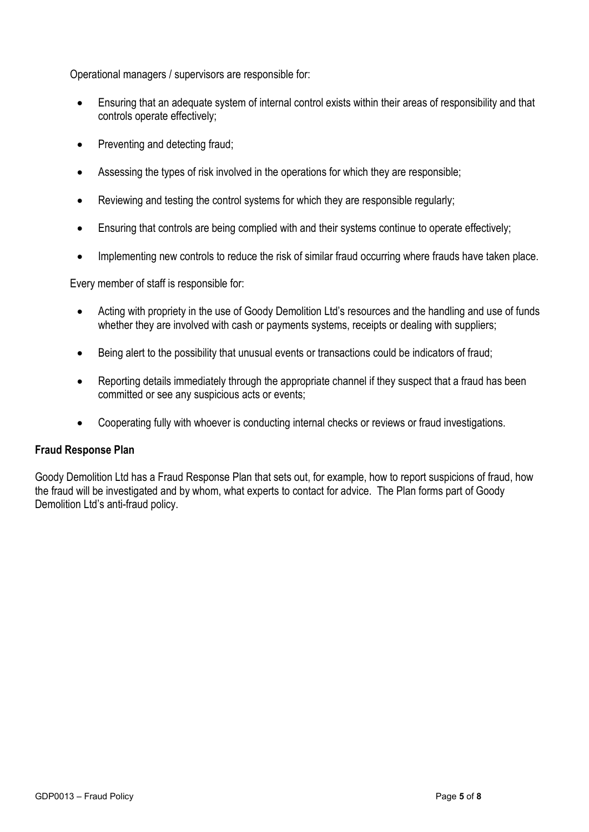Operational managers / supervisors are responsible for:

- Ensuring that an adequate system of internal control exists within their areas of responsibility and that controls operate effectively;
- Preventing and detecting fraud;
- Assessing the types of risk involved in the operations for which they are responsible;
- Reviewing and testing the control systems for which they are responsible regularly;
- Ensuring that controls are being complied with and their systems continue to operate effectively;
- Implementing new controls to reduce the risk of similar fraud occurring where frauds have taken place.

Every member of staff is responsible for:

- Acting with propriety in the use of Goody Demolition Ltd's resources and the handling and use of funds whether they are involved with cash or payments systems, receipts or dealing with suppliers;
- Being alert to the possibility that unusual events or transactions could be indicators of fraud;
- Reporting details immediately through the appropriate channel if they suspect that a fraud has been committed or see any suspicious acts or events;
- Cooperating fully with whoever is conducting internal checks or reviews or fraud investigations.

#### **Fraud Response Plan**

Goody Demolition Ltd has a Fraud Response Plan that sets out, for example, how to report suspicions of fraud, how the fraud will be investigated and by whom, what experts to contact for advice. The Plan forms part of Goody Demolition Ltd's anti-fraud policy.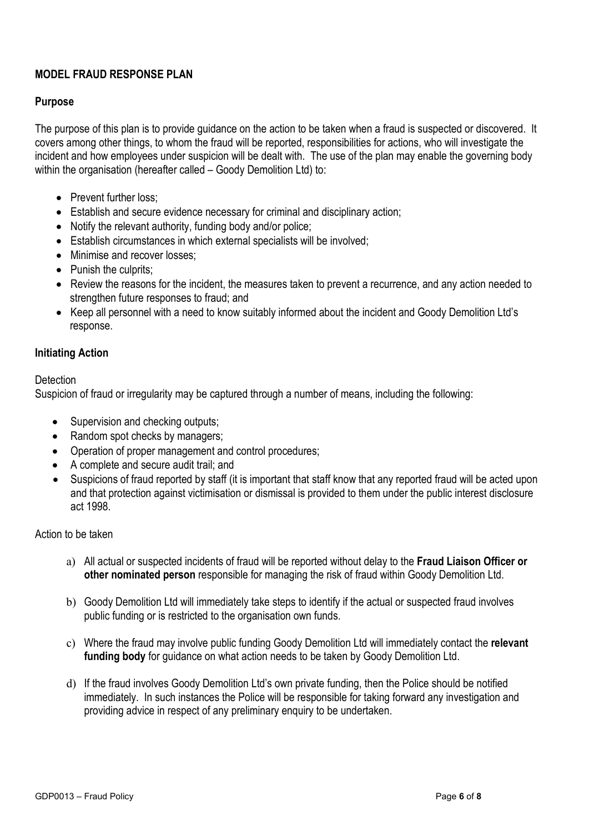# **MODEL FRAUD RESPONSE PLAN**

# **Purpose**

The purpose of this plan is to provide guidance on the action to be taken when a fraud is suspected or discovered. It covers among other things, to whom the fraud will be reported, responsibilities for actions, who will investigate the incident and how employees under suspicion will be dealt with. The use of the plan may enable the governing body within the organisation (hereafter called – Goody Demolition Ltd) to:

- Prevent further loss:
- Establish and secure evidence necessary for criminal and disciplinary action;
- Notify the relevant authority, funding body and/or police;
- Establish circumstances in which external specialists will be involved;
- Minimise and recover losses:
- Punish the culprits:
- Review the reasons for the incident, the measures taken to prevent a recurrence, and any action needed to strengthen future responses to fraud; and
- Keep all personnel with a need to know suitably informed about the incident and Goody Demolition Ltd's response.

#### **Initiating Action**

#### **Detection**

Suspicion of fraud or irregularity may be captured through a number of means, including the following:

- Supervision and checking outputs;
- Random spot checks by managers;
- Operation of proper management and control procedures;
- A complete and secure audit trail; and
- Suspicions of fraud reported by staff (it is important that staff know that any reported fraud will be acted upon and that protection against victimisation or dismissal is provided to them under the public interest disclosure act 1998.

#### Action to be taken

- a) All actual or suspected incidents of fraud will be reported without delay to the **Fraud Liaison Officer or other nominated person** responsible for managing the risk of fraud within Goody Demolition Ltd.
- b) Goody Demolition Ltd will immediately take steps to identify if the actual or suspected fraud involves public funding or is restricted to the organisation own funds.
- c) Where the fraud may involve public funding Goody Demolition Ltd will immediately contact the **relevant funding body** for guidance on what action needs to be taken by Goody Demolition Ltd.
- d) If the fraud involves Goody Demolition Ltd's own private funding, then the Police should be notified immediately. In such instances the Police will be responsible for taking forward any investigation and providing advice in respect of any preliminary enquiry to be undertaken.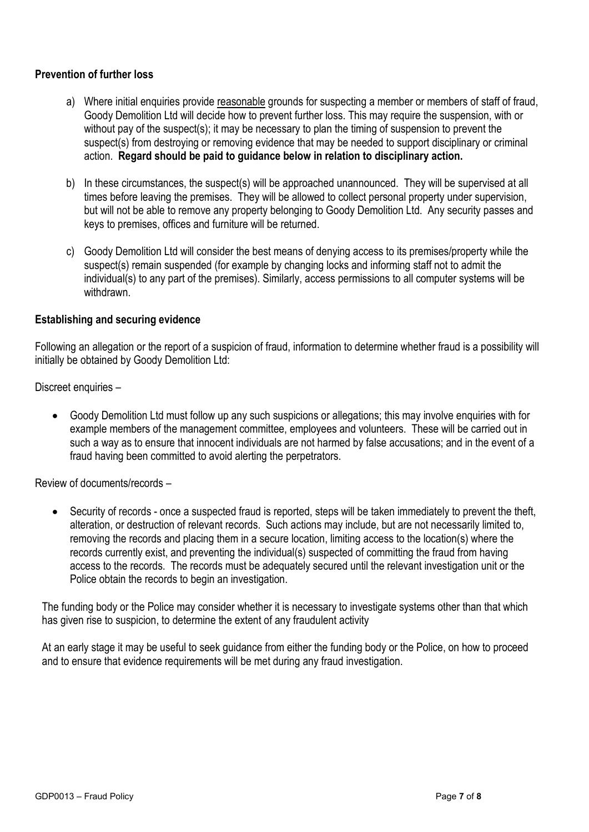## **Prevention of further loss**

- a) Where initial enquiries provide reasonable grounds for suspecting a member or members of staff of fraud, Goody Demolition Ltd will decide how to prevent further loss. This may require the suspension, with or without pay of the suspect(s); it may be necessary to plan the timing of suspension to prevent the suspect(s) from destroying or removing evidence that may be needed to support disciplinary or criminal action. **Regard should be paid to guidance below in relation to disciplinary action.**
- b) In these circumstances, the suspect(s) will be approached unannounced. They will be supervised at all times before leaving the premises. They will be allowed to collect personal property under supervision, but will not be able to remove any property belonging to Goody Demolition Ltd. Any security passes and keys to premises, offices and furniture will be returned.
- c) Goody Demolition Ltd will consider the best means of denying access to its premises/property while the suspect(s) remain suspended (for example by changing locks and informing staff not to admit the individual(s) to any part of the premises). Similarly, access permissions to all computer systems will be withdrawn.

#### **Establishing and securing evidence**

Following an allegation or the report of a suspicion of fraud, information to determine whether fraud is a possibility will initially be obtained by Goody Demolition Ltd:

Discreet enquiries –

 Goody Demolition Ltd must follow up any such suspicions or allegations; this may involve enquiries with for example members of the management committee, employees and volunteers. These will be carried out in such a way as to ensure that innocent individuals are not harmed by false accusations; and in the event of a fraud having been committed to avoid alerting the perpetrators.

Review of documents/records –

 Security of records - once a suspected fraud is reported, steps will be taken immediately to prevent the theft, alteration, or destruction of relevant records. Such actions may include, but are not necessarily limited to, removing the records and placing them in a secure location, limiting access to the location(s) where the records currently exist, and preventing the individual(s) suspected of committing the fraud from having access to the records. The records must be adequately secured until the relevant investigation unit or the Police obtain the records to begin an investigation.

The funding body or the Police may consider whether it is necessary to investigate systems other than that which has given rise to suspicion, to determine the extent of any fraudulent activity

At an early stage it may be useful to seek guidance from either the funding body or the Police, on how to proceed and to ensure that evidence requirements will be met during any fraud investigation.